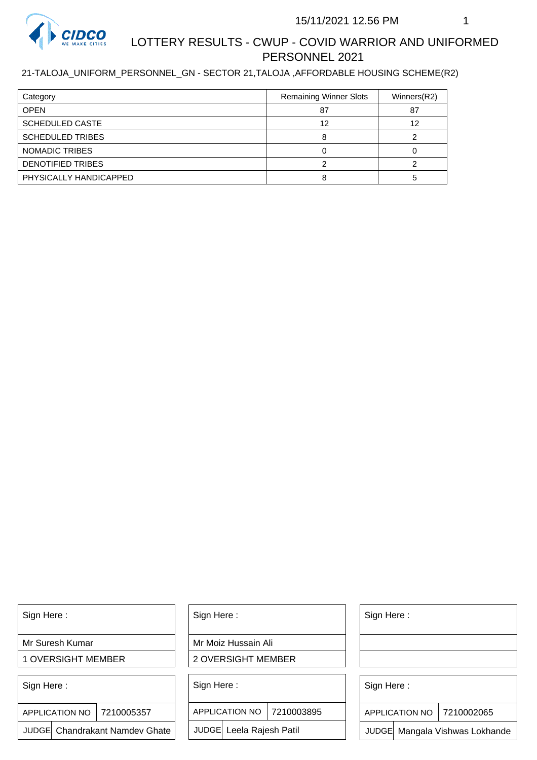

#### 21-TALOJA\_UNIFORM\_PERSONNEL\_GN - SECTOR 21,TALOJA ,AFFORDABLE HOUSING SCHEME(R2)

| Category                 | <b>Remaining Winner Slots</b> | Winners(R2) |
|--------------------------|-------------------------------|-------------|
| <b>OPEN</b>              | 87                            | 87          |
| <b>SCHEDULED CASTE</b>   | 12                            | 12          |
| <b>SCHEDULED TRIBES</b>  |                               |             |
| NOMADIC TRIBES           |                               |             |
| <b>DENOTIFIED TRIBES</b> |                               |             |
| PHYSICALLY HANDICAPPED   |                               |             |

Sign Here :

Mr Suresh Kumar

1 OVERSIGHT MEMBER

Sign Here :

7210005357 APPLICATION NO

JUDGE Chandrakant Namdev Ghate

Sign Here :

Mr Moiz Hussain Ali

2 OVERSIGHT MEMBER

Sign Here :

APPLICATION NO 7210003895

JUDGE Leela Rajesh Patil

Sign Here :

Sign Here :

APPLICATION NO | 7210002065

Chandrakant Namdev Ghate  $|\quad|$  JUDGE Leela Rajesh Patil  $|\quad|$  JUDGE Mangala Vishwas Lokhande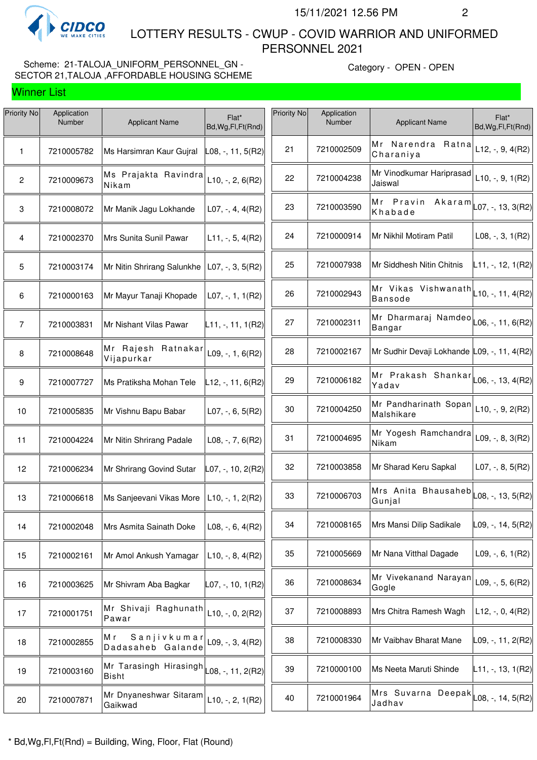

 LOTTERY RESULTS - CWUP - COVID WARRIOR AND UNIFORMED PERSONNEL 2021

## Scheme: 21-TALOJA\_UNIFORM\_PERSONNEL\_GN - SECTOR 21,TALOJA ,AFFORDABLE HOUSING SCHEME

Category - OPEN - OPEN

| Priority No     | Application<br>Number | <b>Applicant Name</b>                  | Flat*<br>Bd, Wg, Fl, Ft (Rnd)               | <b>Priority No</b> | Application<br>Number | <b>Applicant Name</b>                                               | Flat*<br>Bd, Wg, Fl, Ft (Rnd) |
|-----------------|-----------------------|----------------------------------------|---------------------------------------------|--------------------|-----------------------|---------------------------------------------------------------------|-------------------------------|
| 1               | 7210005782            | Ms Harsimran Kaur Gujral               | $\textsf{\small\textsf{L08}},$ -, 11, 5(R2) | 21                 | 7210002509            | Mr Narendra Ratna<br>Charaniya                                      | $L12, -, 9, 4(R2)$            |
| $\overline{2}$  | 7210009673            | Ms Prajakta Ravindra<br>Nikam          | $L10, -, 2, 6(R2)$                          | 22                 | 7210004238            | Mr Vinodkumar Hariprasad<br>Jaiswal                                 | $L10, -, 9, 1(R2)$            |
| $\,$ 3 $\,$     | 7210008072            | Mr Manik Jagu Lokhande                 | $L07, -, 4, 4(R2)$                          | 23                 | 7210003590            | Mr Pravin<br>Akaram<br>Khabade                                      | L07, -, 13, 3(R2)             |
| 4               | 7210002370            | Mrs Sunita Sunil Pawar                 | $L11, -5, 4(R2)$                            | 24                 | 7210000914            | Mr Nikhil Motiram Patil                                             | $L08, -3, 1(R2)$              |
| $5\phantom{.0}$ | 7210003174            | Mr Nitin Shrirang Salunkhe             | $L07, -3, 5(R2)$                            | 25                 | 7210007938            | Mr Siddhesh Nitin Chitnis                                           | L11, -, 12, 1(R2)             |
| 6               | 7210000163            | Mr Mayur Tanaji Khopade                | $L07, -1, 1(R2)$                            | 26                 | 7210002943            | Mr Vikas Vishwanath<br><b>Bansode</b>                               | $L$ 10, -, 11, 4(R2)          |
| $\overline{7}$  | 7210003831            | Mr Nishant Vilas Pawar                 | $L11, -, 11, 1(R2)$                         | 27                 | 7210002311            | Mr Dharmaraj Namdeo $\vert$ L06, -, 11, 6(R2)<br>Bangar             |                               |
| 8               | 7210008648            | Mr Rajesh Ratnakar<br>Vijapurkar       | L09, $-$ , 1, 6(R2)                         | 28                 | 7210002167            | Mr Sudhir Devaji Lokhande L09, -, 11, 4(R2)                         |                               |
| 9               | 7210007727            | Ms Pratiksha Mohan Tele                | $L12, -11, 6(R2)$                           | 29                 | 7210006182            | Mr Prakash Shankar  <sub>L06, -,</sub> 13,4(R2)<br>Yadav            |                               |
| 10              | 7210005835            | Mr Vishnu Bapu Babar                   | L07, -, 6, 5(R2)                            | 30                 | 7210004250            | Mr Pandharinath Sopan<br>Malshikare                                 | $L10, -, 9, 2(R2)$            |
| 11              | 7210004224            | Mr Nitin Shrirang Padale               | $L08, -7, 6(R2)$                            | 31                 | 7210004695            | Mr Yogesh Ramchandra<br>Nikam                                       | $L09, -, 8, 3(R2)$            |
| 12              | 7210006234            | Mr Shrirang Govind Sutar               | L07, -, 10, 2(R2)                           | 32                 | 7210003858            | Mr Sharad Keru Sapkal                                               | L07, $-$ , 8, 5(R2)           |
| 13              | 7210006618            | Ms Sanjeevani Vikas More               | $L10, -1, 2(R2)$                            | 33                 | 7210006703            | Mrs Anita Bhausaheb $\vert$ $_{\text{L08, -, 13, 5(R2)}}$<br>Gunjal |                               |
| 14              | 7210002048            | Mrs Asmita Sainath Doke                | $L08, -, 6, 4(R2)$                          | 34                 | 7210008165            | Mrs Mansi Dilip Sadikale                                            | $LO9, -, 14, 5(R2)$           |
| 15              | 7210002161            | Mr Amol Ankush Yamagar                 | $L10, -, 8, 4(R2)$                          | 35                 | 7210005669            | Mr Nana Vitthal Dagade                                              | $L09, -, 6, 1(R2)$            |
| 16              | 7210003625            | Mr Shivram Aba Bagkar                  | $L07, -, 10, 1(R2)$                         | 36                 | 7210008634            | Mr Vivekanand Narayan<br>Gogle                                      | L09, -, 5, $6(R2)$            |
| 17              | 7210001751            | Mr Shivaji Raghunath<br>Pawar          | $L10, -, 0, 2(R2)$                          | 37                 | 7210008893            | Mrs Chitra Ramesh Wagh                                              | L12, $-$ , 0, 4(R2)           |
| 18              | 7210002855            | Мr<br>Sanjivkumar<br>Dadasaheb Galande | L09, $-$ , 3, 4(R2)                         | 38                 | 7210008330            | Mr Vaibhav Bharat Mane                                              | L09, -, 11, 2(R2)             |
| 19              | 7210003160            | Mr Tarasingh Hirasingh<br><b>Bisht</b> | $L08, -11, 2(R2)$                           | 39                 | 7210000100            | Ms Neeta Maruti Shinde                                              | L11, -, 13, 1(R2)             |
| 20              | 7210007871            | Mr Dnyaneshwar Sitaram<br>Gaikwad      | $L10, -, 2, 1(R2)$                          | 40                 | 7210001964            | <br> Mrs Suvarna Deepak  <sub> </sub> 08,-,14,5(R2)<br>Jadhav       |                               |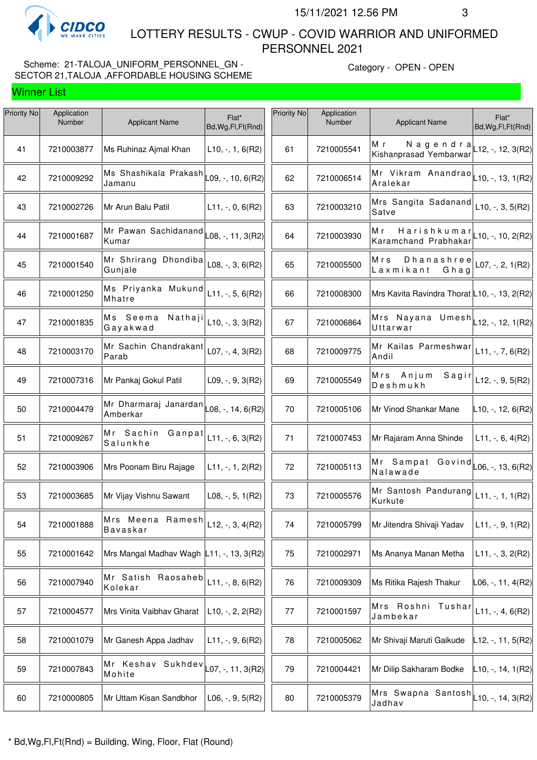

 LOTTERY RESULTS - CWUP - COVID WARRIOR AND UNIFORMED PERSONNEL 2021

## Scheme: 21-TALOJA\_UNIFORM\_PERSONNEL\_GN -SECTOR 21,TALOJA ,AFFORDABLE HOUSING SCHEME

Category - OPEN - OPEN

| Priority No | Application<br>Number | <b>Applicant Name</b>                                       | Flat*                             | Priority No | Application<br>Number | <b>Applicant Name</b>                             | Flat*                         |
|-------------|-----------------------|-------------------------------------------------------------|-----------------------------------|-------------|-----------------------|---------------------------------------------------|-------------------------------|
|             |                       |                                                             | Bd, Wg, Fl, Ft (Rnd)              |             |                       |                                                   | Bd, Wg, Fl, Ft (Rnd)          |
| 41          | 7210003877            | Ms Ruhinaz Ajmal Khan                                       | $L10, -1, 6(R2)$                  | 61          | 7210005541            | M r<br>Nagendra<br>Kishanprasad Yembarwar         | $L$ 12, -, 12, 3(R2)          |
| 42          | 7210009292            | Ms Shashikala Prakash<br>Jamanu                             | $\mathsf{L09},$ -, 10, 6(R2)      | 62          | 7210006514            | Mr Vikram Anandrao<br>Aralekar                    | $L$ 10, -, 13, 1(R2)          |
| 43          | 7210002726            | Mr Arun Balu Patil                                          | $L11, -, 0, 6(R2)$                | 63          | 7210003210            | Mrs Sangita Sadanand<br>Satve                     | $L10, -, 3, 5(R2)$            |
| 44          | 7210001687            | Mr Pawan Sachidanand<br>Kumar                               | $\vert$ L08, -, 11, 3(R2) $\vert$ | 64          | 7210003930            | Harishkumar<br>Мr<br>Karamchand Prabhakar         | $L$ 10, -, 10, 2(R2)          |
| 45          | 7210001540            | Mr Shrirang Dhondiba<br>Gunjale                             | $L08, -3, 6(R2)$                  | 65          | 7210005500            | Dhanashree<br>Mrs<br>Laxmikant<br>Ghag            | L07, -, 2, $1(R2)$            |
| 46          | 7210001250            | Ms Priyanka Mukund<br>Mhatre                                | $L11, -, 5, 6(R2)$                | 66          | 7210008300            | Mrs Kavita Ravindra Thorat L10, -, 13, 2(R2)      |                               |
| 47          | 7210001835            | Ms Seema Nathaji<br>Gayakwad                                | $L10, -, 3, 3(R2)$                | 67          | 7210006864            | Mrs Nayana Umesh $L$ 12, -, 12, 1(R2)<br>Uttarwar |                               |
| 48          | 7210003170            | Mr Sachin Chandrakant<br>Parab                              | $L07, -, 4, 3(R2)$                | 68          | 7210009775            | Mr Kailas Parmeshwar<br>Andil                     | $L11, -7, 6(R2)$              |
| 49          | 7210007316            | Mr Pankaj Gokul Patil                                       | $L09, -, 9, 3(R2)$                | 69          | 7210005549            | Mrs Anjum<br>Sagir<br>Deshmukh                    | $L12, -, 9, 5(R2)$            |
| 50          | 7210004479            | Mr Dharmaraj Janardan $\vert$ L08, -, 14, 6(R2)<br>Amberkar |                                   | 70          | 7210005106            | Mr Vinod Shankar Mane                             | L10, -, 12, 6(R2)             |
| 51          | 7210009267            | Mr Sachin Ganpat<br>Salunkhe                                | $L11, -, 6, 3(R2)$                | 71          | 7210007453            | Mr Rajaram Anna Shinde                            | $L11, -, 6, 4(R2)$            |
| 52          | 7210003906            | Mrs Poonam Biru Rajage                                      | $L11, -1, 1, 2(R2)$               | 72          | 7210005113            | Mr Sampat Govind<br>Nalawade                      | $LO6, -13, 6(R2)$             |
| 53          | 7210003685            | Mr Vijay Vishnu Sawant                                      | L08, $-$ , 5, 1(R2)               | 73          | 7210005576            | Mr Santosh Pandurang<br>Kurkute                   | $L11, -, 1, 1(R2)$            |
| 54          | 7210001888            | Mrs Meena Ramesh<br><b>Bavaskar</b>                         | $L12, -, 3, 4(R2)$                | 74          | 7210005799            | Mr Jitendra Shivaji Yadav                         | $L11, -, 9, 1(R2)$            |
| 55          | 7210001642            | Mrs Mangal Madhav Wagh                                      | $ L11, -13, 3(R2) $               | 75          | 7210002971            | Ms Ananya Manan Metha                             | $L11, -3, 2(R2)$              |
| 56          | 7210007940            | Mr Satish Raosaheb<br>Kolekar                               | $L11, -, 8, 6(R2)$                | 76          | 7210009309            | Ms Ritika Rajesh Thakur                           | L06, -, 11, 4(R2)             |
| 57          | 7210004577            | Mrs Vinita Vaibhav Gharat                                   | $L10, -2, 2(R2)$                  | 77          | 7210001597            | Mrs Roshni Tushar<br>Jambekar                     | $L11, -, 4, 6(R2)$            |
| 58          | 7210001079            | Mr Ganesh Appa Jadhav                                       | $L11, -, 9, 6(R2)$                | 78          | 7210005062            | Mr Shivaji Maruti Gaikude                         | L12, -, 11, 5(R2)             |
| 59          | 7210007843            | Mr Keshav Sukhdev<br>Mohite                                 | $\textsf{L}07, -, 11, 3(R2)$      | 79          | 7210004421            | Mr Dilip Sakharam Bodke                           | L <sub>10, -,</sub> 14, 1(R2) |
| 60          | 7210000805            | Mr Uttam Kisan Sandbhor                                     | $L06, -, 9, 5(R2)$                | 80          | 7210005379            | Mrs Swapna Santosh<br>Jadhav                      | L10, -, 14, 3(R2)             |
|             |                       |                                                             |                                   |             |                       |                                                   |                               |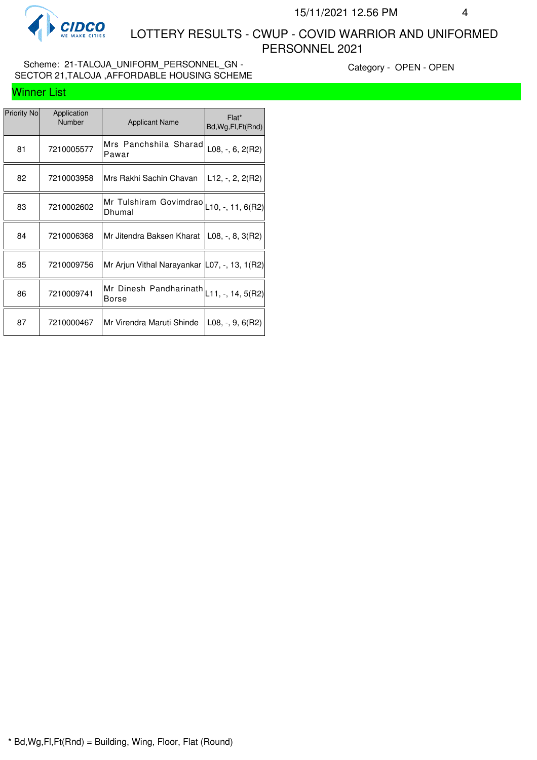

 LOTTERY RESULTS - CWUP - COVID WARRIOR AND UNIFORMED PERSONNEL 2021

### Scheme: 21-TALOJA\_UNIFORM\_PERSONNEL\_GN -SECTOR 21,TALOJA ,AFFORDABLE HOUSING SCHEME

Category - OPEN - OPEN

| Priority No | Application<br><b>Number</b> | <b>Applicant Name</b>                                     | Flat*<br>Bd, Wg, Fl, Ft (Rnd) |
|-------------|------------------------------|-----------------------------------------------------------|-------------------------------|
| 81          | 7210005577                   | Mrs Panchshila Sharad<br>Pawar                            | $L08, -, 6, 2(R2)$            |
| 82          | 7210003958                   | Mrs Rakhi Sachin Chavan                                   | $L12, -2, 2(R2)$              |
| 83          | 7210002602                   | Mr Tulshiram Govimdrao $\vert$ 10, -, 11, 6(R2)<br>Dhumal |                               |
| 84          | 7210006368                   | Mr Jitendra Baksen Kharat                                 | $L08, -, 8, 3(R2)$            |
| 85          | 7210009756                   | Mr Arjun Vithal Narayankar   L07, -, 13, 1 (R2)           |                               |
| 86          | 7210009741                   | Mr Dinesh Pandharinath $\vert$ L11, -, 14, 5(R2)<br>Borse |                               |
| 87          | 7210000467                   | Mr Virendra Maruti Shinde                                 | L08, $-$ , 9, 6(R2)           |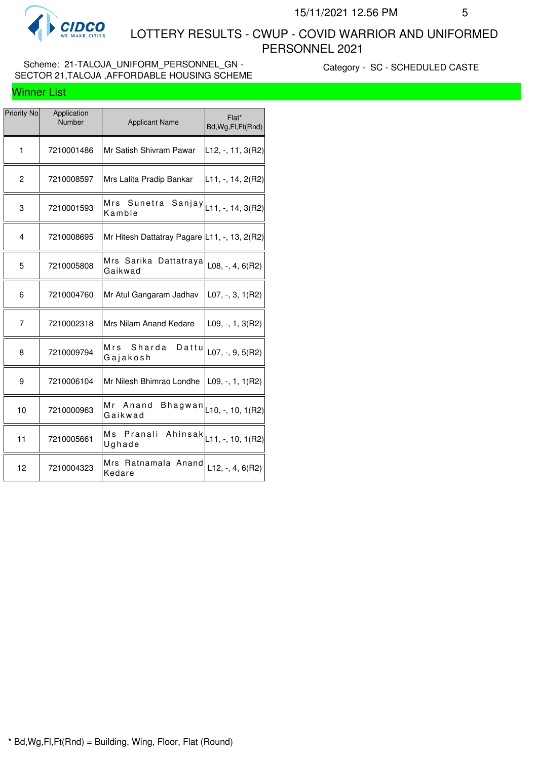

 LOTTERY RESULTS - CWUP - COVID WARRIOR AND UNIFORMED PERSONNEL 2021

### Scheme: 21-TALOJA\_UNIFORM\_PERSONNEL\_GN -SECTOR 21,TALOJA ,AFFORDABLE HOUSING SCHEME

Category - SC - SCHEDULED CASTE

| <b>Priority No</b> | Application<br>Number | <b>Applicant Name</b>                                                                 | Flat*<br>Bd, Wg, Fl, Ft (Rnd)                |
|--------------------|-----------------------|---------------------------------------------------------------------------------------|----------------------------------------------|
| 1                  | 7210001486            | Mr Satish Shivram Pawar                                                               | L12, -, 11, 3(R2)                            |
| $\overline{c}$     | 7210008597            | Mrs Lalita Pradip Bankar                                                              | $\lfloor 11, \frac{1}{7}, 14, 2(R2) \rfloor$ |
| 3                  | 7210001593            | Mrs Sunetra Sanjay $\vert_{\rule{0pt}{3ex}\rule{0pt}{3ex}$ 11, -, 14, 3(R2)<br>Kamble |                                              |
| 4                  | 7210008695            | Mr Hitesh Dattatray Pagare L11, -, 13, 2(R2)                                          |                                              |
| 5                  | 7210005808            | Mrs Sarika Dattatraya<br>Gaikwad                                                      | $L08, -, 4, 6(R2)$                           |
| 6                  | 7210004760            | Mr Atul Gangaram Jadhav                                                               | $L07, -3, 1(R2)$                             |
| 7                  | 7210002318            | Mrs Nilam Anand Kedare                                                                | $L09, -1, 3(R2)$                             |
| 8                  | 7210009794            | Sharda<br>Mrs<br>Dattu<br>Gajakosh                                                    | $L07, -, 9, 5(R2)$                           |
| 9                  | 7210006104            | Mr Nilesh Bhimrao Londhe                                                              | L09, -, 1, $1(R2)$                           |
| 10                 | 7210000963            | Mr Anand<br>Bhagwan<br>Gaikwad                                                        | $\vert$ L10, -, 10, 1(R2)                    |
| 11                 | 7210005661            | Ms Pranali Ahinsak $\vert_{\text{L11},\text{-, 10, 1(R2)}}$<br>Ughade                 |                                              |
| 12                 | 7210004323            | Mrs Ratnamala Anand<br>Kedare                                                         | L12, -, 4, $6(R2)$                           |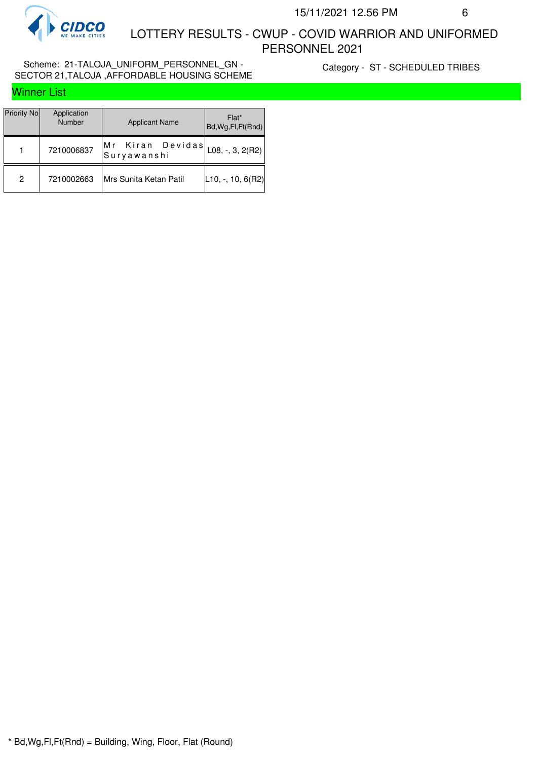

#### Scheme: 21-TALOJA\_UNIFORM\_PERSONNEL\_GN -SECTOR 21,TALOJA ,AFFORDABLE HOUSING SCHEME

Category - ST - SCHEDULED TRIBES

| <b>Winner List</b> |  |
|--------------------|--|
|--------------------|--|

| Priority No | Application<br><b>Number</b> | <b>Applicant Name</b>                                                           | Flat*<br>Bd, Wg, Fl, Ft(Rnd) |
|-------------|------------------------------|---------------------------------------------------------------------------------|------------------------------|
|             | 7210006837                   | Kiran Devidas $\big _{\text{L08},\text{-, 3, 2(R2)}}\big $<br>Mr<br>Suryawanshi |                              |
| 2           | 7210002663                   | Mrs Sunita Ketan Patil                                                          | $ L10, -, 10, 6(R2) $        |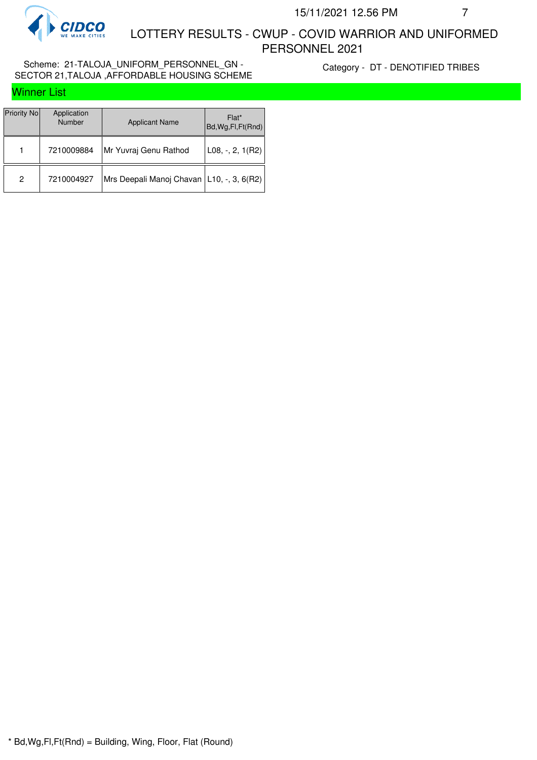

#### Scheme: 21-TALOJA\_UNIFORM\_PERSONNEL\_GN - SECTOR 21,TALOJA ,AFFORDABLE HOUSING SCHEME

Category - DT - DENOTIFIED TRIBES

|  |  |  | <b>Winner List</b> |
|--|--|--|--------------------|
|  |  |  |                    |

| Priority No | Application<br><b>Number</b> | <b>Applicant Name</b>                       | Flat*<br>Bd, Wg, Fl, Ft (Rnd) |
|-------------|------------------------------|---------------------------------------------|-------------------------------|
| 1           | 7210009884                   | Mr Yuvraj Genu Rathod                       | L08, $-$ , 2, 1(R2)           |
| 2           | 7210004927                   | Mrs Deepali Manoj Chavan   L10, -, 3, 6(R2) |                               |